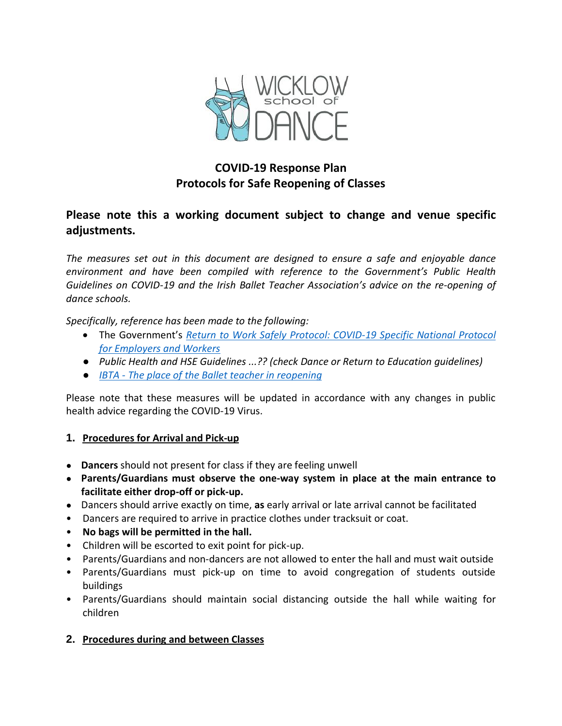

# **COVID-19 Response Plan Protocols for Safe Reopening of Classes**

## **Please note this a working document subject to change and venue specific adjustments.**

*The measures set out in this document are designed to ensure a safe and enjoyable dance environment and have been compiled with reference to the Government's Public Health Guidelines on COVID-19 and the Irish Ballet Teacher Association's advice on the re-opening of dance schools.*

*Specifically, reference has been made to the following:*

- The Government's *Return to Work Safely Protocol: [COVID-19](https://www.gov.ie/en/publication/22829a-return-to-work-safely-protocol/) Specific National Protocol for [Employers](https://www.gov.ie/en/publication/22829a-return-to-work-safely-protocol/) and Workers*
- *Public Health and HSE Guidelines ...?? (check Dance or Return to Education guidelines)*
- *IBTA - The place of the Ballet [teacher](https://ibta.ie/) in [reopening](https://ibta.ie/)*

Please note that these measures will be updated in accordance with any changes in public health advice regarding the COVID-19 Virus.

#### **1. Procedures for Arrival and Pick-up**

- **Dancers** should not present for class if they are feeling unwell
- **Parents/Guardians must observe the one-way system in place at the main entrance to facilitate either drop-off or pick-up.**
- Dancers should arrive exactly on time, **as** early arrival or late arrival cannot be facilitated
- Dancers are required to arrive in practice clothes under tracksuit or coat.
- **No bags will be permitted in the hall.**
- Children will be escorted to exit point for pick-up.
- Parents/Guardians and non-dancers are not allowed to enter the hall and must wait outside
- Parents/Guardians must pick-up on time to avoid congregation of students outside buildings
- Parents/Guardians should maintain social distancing outside the hall while waiting for children

#### **2. Procedures during and between Classes**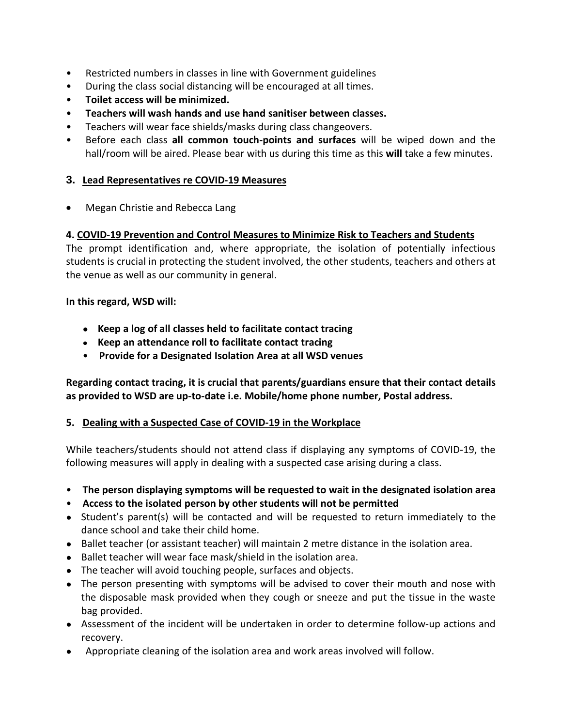- Restricted numbers in classes in line with Government guidelines
- During the class social distancing will be encouraged at all times.
- **Toilet access will be minimized.**
- **Teachers will wash hands and use hand sanitiser between classes.**
- Teachers will wear face shields/masks during class changeovers.
- Before each class **all common touch-points and surfaces** will be wiped down and the hall/room will be aired. Please bear with us during this time as this **will** take a few minutes.

#### **3. Lead Representatives re COVID-19 Measures**

• Megan Christie and Rebecca Lang

#### **4. COVID-19 Prevention and Control Measures to Minimize Risk to Teachers and Students**

The prompt identification and, where appropriate, the isolation of potentially infectious students is crucial in protecting the student involved, the other students, teachers and others at the venue as well as our community in general.

#### **In this regard, WSD will:**

- **Keep a log of all classes held to facilitate contact tracing**
- **Keep an attendance roll to facilitate contact tracing**
- **Provide for a Designated Isolation Area at all WSD venues**

**Regarding contact tracing, it is crucial that parents/guardians ensure that their contact details as provided to WSD are up-to-date i.e. Mobile/home phone number, Postal address.**

#### **5. Dealing with a Suspected Case of COVID-19 in the Workplace**

While teachers/students should not attend class if displaying any symptoms of COVID-19, the following measures will apply in dealing with a suspected case arising during a class.

- **The person displaying symptoms will be requested to wait in the designated isolation area**
- **Access to the isolated person by other students will not be permitted**
- Student's parent(s) will be contacted and will be requested to return immediately to the dance school and take their child home.
- Ballet teacher (or assistant teacher) will maintain 2 metre distance in the isolation area.
- Ballet teacher will wear face mask/shield in the isolation area.
- The teacher will avoid touching people, surfaces and objects.
- The person presenting with symptoms will be advised to cover their mouth and nose with the disposable mask provided when they cough or sneeze and put the tissue in the waste bag provided.
- Assessment of the incident will be undertaken in order to determine follow-up actions and recovery.
- Appropriate cleaning of the isolation area and work areas involved will follow.